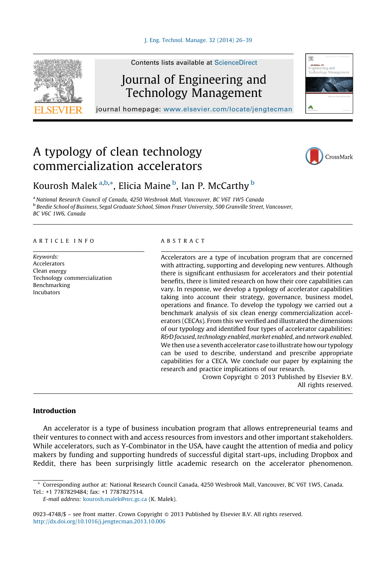

Contents lists available at [ScienceDirect](http://www.sciencedirect.com/science/journal/09234748)

# Journal of Engineering and Technology Management

journal homepage: [www.elsevier.com/locate/jengtecman](http://dx.doi.org/www.elsevier.com/locate/jengtecman)

# A typology of clean technology commercialization accelerators



期

# Kourosh Malek <sup>a,b,</sup>\*, Elicia Maine <sup>b</sup>, Ian P. McCarthy <sup>b</sup>

<sup>a</sup> National Research Council of Canada, 4250 Wesbrook Mall, Vancouver, BC V6T 1W5 Canada <sup>b</sup> Beedie School of Business, Segal Graduate School, Simon Fraser University, 500 Granville Street, Vancouver, BC V6C 1W6, Canada

#### A R T I C L E I N F O

Keywords: Accelerators Clean energy Technology commercialization Benchmarking Incubators

#### A B S T R A C T

Accelerators are a type of incubation program that are concerned with attracting, supporting and developing new ventures. Although there is significant enthusiasm for accelerators and their potential benefits, there is limited research on how their core capabilities can vary. In response, we develop a typology of accelerator capabilities taking into account their strategy, governance, business model, operations and finance. To develop the typology we carried out a benchmark analysis of six clean energy commercialization accelerators (CECAs). From this we verified and illustrated the dimensions of our typology and identified four types of accelerator capabilities: R&D focused, technology enabled, market enabled, and network enabled. We then use a seventh accelerator case to illustrate how our typology can be used to describe, understand and prescribe appropriate capabilities for a CECA. We conclude our paper by explaining the research and practice implications of our research.

Crown Copyright © 2013 Published by Elsevier B.V. All rights reserved.

# Introduction

An accelerator is a type of business incubation program that allows entrepreneurial teams and their ventures to connect with and access resources from investors and other important stakeholders. While accelerators, such as Y-Combinator in the USA, have caught the attention of media and policy makers by funding and supporting hundreds of successful digital start-ups, including Dropbox and Reddit, there has been surprisingly little academic research on the accelerator phenomenon.

0923-4748/\$ – see front matter. Crown Copyright © 2013 Published by Elsevier B.V. All rights reserved. <http://dx.doi.org/10.1016/j.jengtecman.2013.10.006>

<sup>\*</sup> Corresponding author at: National Research Council Canada, 4250 Wesbrook Mall, Vancouver, BC V6T 1W5, Canada. Tel.: +1 7787829484; fax: +1 7787827514.

E-mail address: [kourosh.malek@nrc.gc.ca](mailto:kourosh.malek@nrc.gc.ca) (K. Malek).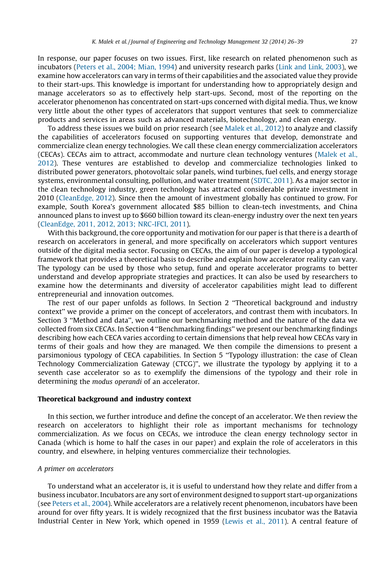In response, our paper focuses on two issues. First, like research on related phenomenon such as incubators [\(Peters](#page-13-0) et al., 2004; Mian, 1994) and university research parks (Link and Link, [2003](#page-13-0)), we examine how accelerators can vary in terms of their capabilities and the associated value they provide to their start-ups. This knowledge is important for understanding how to appropriately design and manage accelerators so as to effectively help start-ups. Second, most of the reporting on the accelerator phenomenon has concentrated on start-ups concerned with digital media. Thus, we know very little about the other types of accelerators that support ventures that seek to commercialize products and services in areas such as advanced materials, biotechnology, and clean energy.

To address these issues we build on prior research (see [Malek](#page-13-0) et al., 2012) to analyze and classify the capabilities of accelerators focused on supporting ventures that develop, demonstrate and commercialize clean energy technologies. We call these clean energy commercialization accelerators (CECAs). CECAs aim to attract, accommodate and nurture clean technology ventures [\(Malek](#page-13-0) et al., [2012\)](#page-13-0). These ventures are established to develop and commercialize technologies linked to distributed power generators, photovoltaic solar panels, wind turbines, fuel cells, and energy storage systems, environmental consulting, pollution, and water treatment ([SDTC,](#page-13-0) 2011). As a major sector in the clean technology industry, green technology has attracted considerable private investment in 2010 ([CleanEdge,](#page-12-0) 2012). Since then the amount of investment globally has continued to grow. For example, South Korea's government allocated \$85 billion to clean-tech investments, and China announced plans to invest up to \$660 billion toward its clean-energy industry over the next ten years [\(CleanEdge,](#page-12-0) 2011, 2012, 2013; NRC-IFCI, 2011).

With this background, the core opportunity and motivation for our paper is that there is a dearth of research on accelerators in general, and more specifically on accelerators which support ventures outside of the digital media sector. Focusing on CECAs, the aim of our paper is develop a typological framework that provides a theoretical basis to describe and explain how accelerator reality can vary. The typology can be used by those who setup, fund and operate accelerator programs to better understand and develop appropriate strategies and practices. It can also be used by researchers to examine how the determinants and diversity of accelerator capabilities might lead to different entrepreneurial and innovation outcomes.

The rest of our paper unfolds as follows. In Section 2 ''Theoretical background and industry context'' we provide a primer on the concept of accelerators, and contrast them with incubators. In Section 3 ''Method and data'', we outline our benchmarking method and the nature of the data we collected from six CECAs. In Section 4 ''Benchmarking findings'' we present our benchmarking findings describing how each CECA varies according to certain dimensions that help reveal how CECAs vary in terms of their goals and how they are managed. We then compile the dimensions to present a parsimonious typology of CECA capabilities. In Section 5 ''Typology illustration: the case of Clean Technology Commercialization Gateway (CTCG)'', we illustrate the typology by applying it to a seventh case accelerator so as to exemplify the dimensions of the typology and their role in determining the modus operandi of an accelerator.

#### Theoretical background and industry context

In this section, we further introduce and define the concept of an accelerator. We then review the research on accelerators to highlight their role as important mechanisms for technology commercialization. As we focus on CECAs, we introduce the clean energy technology sector in Canada (which is home to half the cases in our paper) and explain the role of accelerators in this country, and elsewhere, in helping ventures commercialize their technologies.

#### A primer on accelerators

To understand what an accelerator is, it is useful to understand how they relate and differ from a business incubator. Incubators are any sort of environment designed to support start-up organizations (see [Peters](#page-13-0) et al., 2004). While accelerators are a relatively recent phenomenon, incubators have been around for over fifty years. It is widely recognized that the first business incubator was the Batavia Industrial Center in New York, which opened in 1959 [\(Lewis](#page-13-0) et al., 2011). A central feature of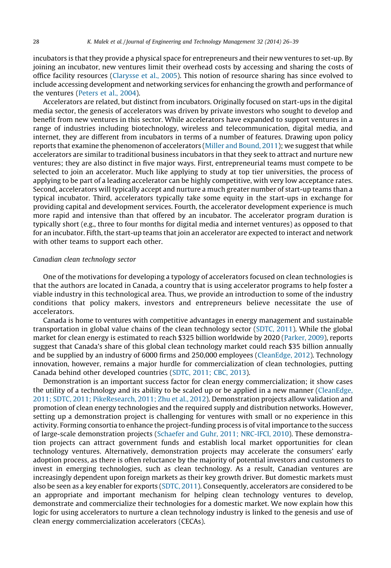incubators is that they provide a physical space for entrepreneurs and their new ventures to set-up. By joining an incubator, new ventures limit their overhead costs by accessing and sharing the costs of office facility resources ([Clarysse](#page-12-0) et al., 2005). This notion of resource sharing has since evolved to include accessing development and networking services for enhancing the growth and performance of the ventures [\(Peters](#page-13-0) et al., 2004).

Accelerators are related, but distinct from incubators. Originally focused on start-ups in the digital media sector, the genesis of accelerators was driven by private investors who sought to develop and benefit from new ventures in this sector. While accelerators have expanded to support ventures in a range of industries including biotechnology, wireless and telecommunication, digital media, and internet, they are different from incubators in terms of a number of features. Drawing upon policy reports that examine the phenomenon of accelerators (Miller and [Bound,](#page-13-0) 2011); we suggest that while accelerators are similar to traditional business incubators in that they seek to attract and nurture new ventures; they are also distinct in five major ways. First, entrepreneurial teams must compete to be selected to join an accelerator. Much like applying to study at top tier universities, the process of applying to be part of a leading accelerator can be highly competitive, with very low acceptance rates. Second, accelerators will typically accept and nurture a much greater number of start-up teams than a typical incubator. Third, accelerators typically take some equity in the start-ups in exchange for providing capital and development services. Fourth, the accelerator development experience is much more rapid and intensive than that offered by an incubator. The accelerator program duration is typically short (e.g., three to four months for digital media and internet ventures) as opposed to that for an incubator. Fifth, the start-up teams that join an accelerator are expected to interact and network with other teams to support each other.

#### Canadian clean technology sector

One of the motivations for developing a typology of accelerators focused on clean technologies is that the authors are located in Canada, a country that is using accelerator programs to help foster a viable industry in this technological area. Thus, we provide an introduction to some of the industry conditions that policy makers, investors and entrepreneurs believe necessitate the use of accelerators.

Canada is home to ventures with competitive advantages in energy management and sustainable transportation in global value chains of the clean technology sector ([SDTC,](#page-13-0) 2011). While the global market for clean energy is estimated to reach \$325 billion worldwide by 2020 [\(Parker,](#page-13-0) 2009), reports suggest that Canada's share of this global clean technology market could reach \$35 billion annually and be supplied by an industry of 6000 firms and 250,000 employees [\(CleanEdge,](#page-12-0) 2012). Technology innovation, however, remains a major hurdle for commercialization of clean technologies, putting Canada behind other developed countries [\(SDTC,](#page-12-0) 2011; CBC, 2013).

Demonstration is an important success factor for clean energy commercialization; it show cases the utility of a technology and its ability to be scaled up or be applied in a new manner ([CleanEdge,](#page-13-0) 2011; SDTC, 2011; [PikeResearch,](#page-13-0) 2011; Zhu et al., 2012). Demonstration projects allow validation and promotion of clean energy technologies and the required supply and distribution networks. However, setting up a demonstration project is challenging for ventures with small or no experience in this activity. Forming consortia to enhance the project-funding process is of vital importance to the success of large-scale demonstration projects (Schaefer and Guhr, 2011; [NRC-IFCI,](#page-13-0) 2010). These demonstration projects can attract government funds and establish local market opportunities for clean technology ventures. Alternatively, demonstration projects may accelerate the consumers' early adoption process, as there is often reluctance by the majority of potential investors and customers to invest in emerging technologies, such as clean technology. As a result, Canadian ventures are increasingly dependent upon foreign markets as their key growth driver. But domestic markets must also be seen as a key enabler for exports ([SDTC,](#page-13-0) 2011). Consequently, accelerators are considered to be an appropriate and important mechanism for helping clean technology ventures to develop, demonstrate and commercialize their technologies for a domestic market. We now explain how this logic for using accelerators to nurture a clean technology industry is linked to the genesis and use of clean energy commercialization accelerators (CECAs).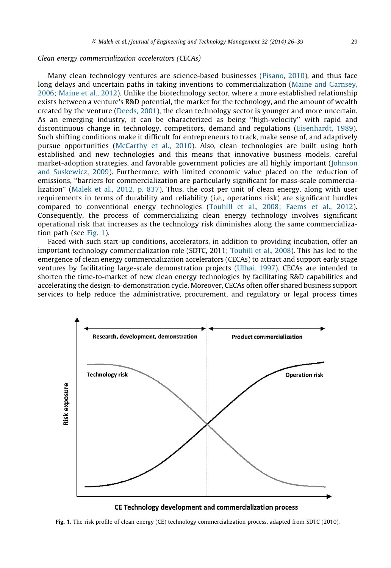#### Clean energy commercialization accelerators (CECAs)

Many clean technology ventures are science-based businesses [\(Pisano,](#page-13-0) 2010), and thus face long delays and uncertain paths in taking inventions to commercialization (Maine and [Garnsey,](#page-13-0) 2006; [Maine](#page-13-0) et al., 2012). Unlike the biotechnology sector, where a more established relationship exists between a venture's R&D potential, the market for the technology, and the amount of wealth created by the venture ([Deeds,](#page-12-0) 2001), the clean technology sector is younger and more uncertain. As an emerging industry, it can be characterized as being ''high-velocity'' with rapid and discontinuous change in technology, competitors, demand and regulations [\(Eisenhardt,](#page-13-0) 1989). Such shifting conditions make it difficult for entrepreneurs to track, make sense of, and adaptively pursue opportunities [\(McCarthy](#page-13-0) et al., 2010). Also, clean technologies are built using both established and new technologies and this means that innovative business models, careful market-adoption strategies, and favorable government policies are all highly important ([Johnson](#page-13-0) and [Suskewicz,](#page-13-0) 2009). Furthermore, with limited economic value placed on the reduction of emissions, ''barriers for commercialization are particularly significant for mass-scale commercialization'' ([Malek](#page-13-0) et al., 2012, p. 837). Thus, the cost per unit of clean energy, along with user requirements in terms of durability and reliability (i.e., operations risk) are significant hurdles compared to conventional energy technologies ([Touhill](#page-13-0) et al., 2008; Faems et al., 2012). Consequently, the process of commercializing clean energy technology involves significant operational risk that increases as the technology risk diminishes along the same commercialization path (see Fig. 1).

Faced with such start-up conditions, accelerators, in addition to providing incubation, offer an important technology commercialization role (SDTC, 2011; [Touhill](#page-13-0) et al., 2008). This has led to the emergence of clean energy commercialization accelerators (CECAs) to attract and support early stage ventures by facilitating large-scale demonstration projects ([Ulhøi,](#page-13-0) 1997). CECAs are intended to shorten the time-to-market of new clean energy technologies by facilitating R&D capabilities and accelerating the design-to-demonstration cycle. Moreover, CECAs often offer shared business support services to help reduce the administrative, procurement, and regulatory or legal process times



Fig. 1. The risk profile of clean energy (CE) technology commercialization process, adapted from SDTC (2010).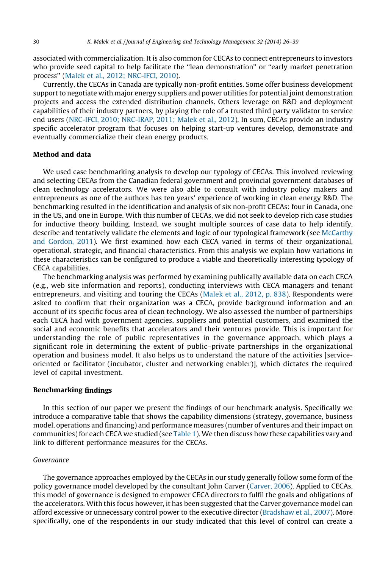associated with commercialization. It is also common for CECAs to connect entrepreneurs to investors who provide seed capital to help facilitate the ''lean demonstration'' or ''early market penetration process'' (Malek et al., 2012; [NRC-IFCI,](#page-13-0) 2010).

Currently, the CECAs in Canada are typically non-profit entities. Some offer business development support to negotiate with major energy suppliers and power utilities for potential joint demonstration projects and access the extended distribution channels. Others leverage on R&D and deployment capabilities of their industry partners, by playing the role of a trusted third party validator to service end users (NRC-IFCI, 2010; [NRC-IRAP,](#page-13-0) 2011; Malek et al., 2012). In sum, CECAs provide an industry specific accelerator program that focuses on helping start-up ventures develop, demonstrate and eventually commercialize their clean energy products.

# Method and data

We used case benchmarking analysis to develop our typology of CECAs. This involved reviewing and selecting CECAs from the Canadian federal government and provincial government databases of clean technology accelerators. We were also able to consult with industry policy makers and entrepreneurs as one of the authors has ten years' experience of working in clean energy R&D. The benchmarking resulted in the identification and analysis of six non-profit CECAs: four in Canada, one in the US, and one in Europe. With this number of CECAs, we did not seek to develop rich case studies for inductive theory building. Instead, we sought multiple sources of case data to help identify, describe and tentatively validate the elements and logic of our typological framework (see [McCarthy](#page-13-0) and [Gordon,](#page-13-0) 2011). We first examined how each CECA varied in terms of their organizational, operational, strategic, and financial characteristics. From this analysis we explain how variations in these characteristics can be configured to produce a viable and theoretically interesting typology of CECA capabilities.

The benchmarking analysis was performed by examining publically available data on each CECA (e.g., web site information and reports), conducting interviews with CECA managers and tenant entrepreneurs, and visiting and touring the CECAs ([Malek](#page-13-0) et al., 2012, p. 838). Respondents were asked to confirm that their organization was a CECA, provide background information and an account of its specific focus area of clean technology. We also assessed the number of partnerships each CECA had with government agencies, suppliers and potential customers, and examined the social and economic benefits that accelerators and their ventures provide. This is important for understanding the role of public representatives in the governance approach, which plays a significant role in determining the extent of public–private partnerships in the organizational operation and business model. It also helps us to understand the nature of the activities [serviceoriented or facilitator (incubator, cluster and networking enabler)], which dictates the required level of capital investment.

# Benchmarking findings

In this section of our paper we present the findings of our benchmark analysis. Specifically we introduce a comparative table that shows the capability dimensions (strategy, governance, business model, operations and financing) and performance measures (number of ventures and their impact on communities) for each CECA we studied (see [Table](#page-5-0) 1). We then discuss how these capabilities vary and link to different performance measures for the CECAs.

#### Governance

The governance approaches employed by the CECAs in our study generally follow some form of the policy governance model developed by the consultant John Carver ([Carver,](#page-12-0) 2006). Applied to CECAs, this model of governance is designed to empower CECA directors to fulfil the goals and obligations of the accelerators. With this focus however, it has been suggested that the Carver governance model can afford excessive or unnecessary control power to the executive director [\(Bradshaw](#page-12-0) et al., 2007). More specifically, one of the respondents in our study indicated that this level of control can create a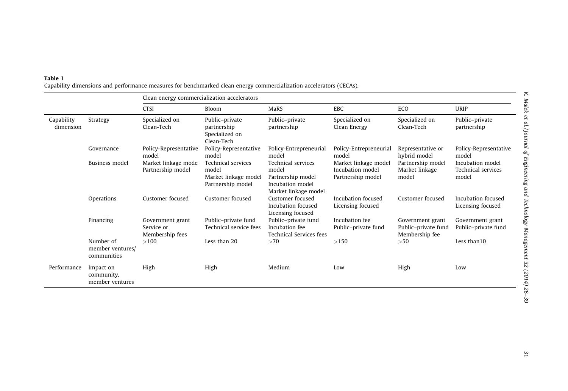|                         |                                              | Clean energy commercialization accelerators       |                                                                          |                                                                                              |                                                               |                                                           |                                                        |
|-------------------------|----------------------------------------------|---------------------------------------------------|--------------------------------------------------------------------------|----------------------------------------------------------------------------------------------|---------------------------------------------------------------|-----------------------------------------------------------|--------------------------------------------------------|
|                         |                                              | <b>CTSI</b>                                       | <b>Bloom</b>                                                             | MaRS                                                                                         | <b>EBC</b>                                                    | <b>ECO</b>                                                | URIP                                                   |
| Capability<br>dimension | Strategy                                     | Specialized on<br>Clean-Tech                      | Public-private<br>partnership<br>Specialized on<br>Clean-Tech            | Public-private<br>partnership                                                                | Specialized on<br>Clean Energy                                | Specialized on<br>Clean-Tech                              | Public-private<br>partnership                          |
|                         | Governance                                   | Policy-Representative<br>model                    | Policy-Representative<br>model                                           | Policy-Entrepreneurial<br>model                                                              | Policy-Entrepreneurial<br>model                               | Representative or<br>hybrid model                         | Policy-Representative<br>model                         |
|                         | Business model                               | Market linkage mode<br>Partnership model          | Technical services<br>model<br>Market linkage model<br>Partnership model | Technical services<br>model<br>Partnership model<br>Incubation model<br>Market linkage model | Market linkage model<br>Incubation model<br>Partnership model | Partnership model<br>Market linkage<br>model              | Incubation model<br><b>Technical services</b><br>model |
|                         | Operations                                   | Customer focused                                  | Customer focused                                                         | Customer focused<br>Incubation focused<br>Licensing focused                                  | Incubation focused<br>Licensing focused                       | Customer focused                                          | Incubation focused<br>Licensing focused                |
|                         | Financing                                    | Government grant<br>Service or<br>Membership fees | Public-private fund<br>Technical service fees                            | Public-private fund<br>Incubation fee<br><b>Technical Services fees</b>                      | Incubation fee<br>Public-private fund                         | Government grant<br>Public-private fund<br>Membership fee | Government grant<br>Public-private fund                |
|                         | Number of<br>member ventures/<br>communities | >100                                              | Less than 20                                                             | >70                                                                                          | >150                                                          | >50                                                       | Less than10                                            |
| Performance             | Impact on<br>community,<br>member ventures   | High                                              | High                                                                     | Medium                                                                                       | Low                                                           | High                                                      | Low                                                    |

#### <span id="page-5-0"></span>Table 1 Capability dimensions and performance measures for benchmarked clean energy commercialization accelerators (CECAs).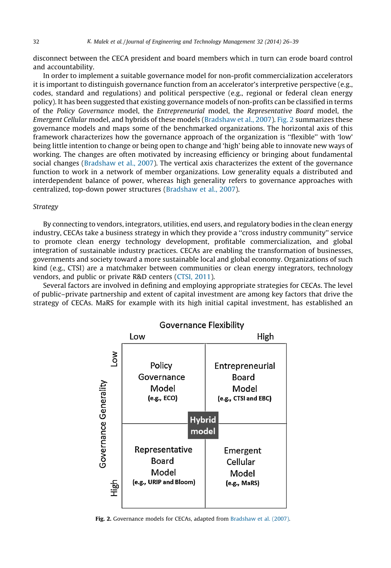disconnect between the CECA president and board members which in turn can erode board control and accountability.

In order to implement a suitable governance model for non-profit commercialization accelerators it is important to distinguish governance function from an accelerator's interpretive perspective (e.g., codes, standard and regulations) and political perspective (e.g., regional or federal clean energy policy). It has been suggested that existing governance models of non-profits can be classified in terms of the Policy Governance model, the Entrepreneurial model, the Representative Board model, the Emergent Cellular model, and hybrids of these models ([Bradshaw](#page-12-0) et al., 2007). Fig. 2 summarizes these governance models and maps some of the benchmarked organizations. The horizontal axis of this framework characterizes how the governance approach of the organization is ''flexible'' with 'low' being little intention to change or being open to change and 'high' being able to innovate new ways of working. The changes are often motivated by increasing efficiency or bringing about fundamental social changes ([Bradshaw](#page-12-0) et al., 2007). The vertical axis characterizes the extent of the governance function to work in a network of member organizations. Low generality equals a distributed and interdependent balance of power, whereas high generality refers to governance approaches with centralized, top-down power structures ([Bradshaw](#page-12-0) et al., 2007).

#### Strategy

By connecting to vendors, integrators, utilities, end users, and regulatory bodies in the clean energy industry, CECAs take a business strategy in which they provide a ''cross industry community'' service to promote clean energy technology development, profitable commercialization, and global integration of sustainable industry practices. CECAs are enabling the transformation of businesses, governments and society toward a more sustainable local and global economy. Organizations of such kind (e.g., CTSI) are a matchmaker between communities or clean energy integrators, technology vendors, and public or private R&D centers (CTSI, [2011](#page-12-0)).

Several factors are involved in defining and employing appropriate strategies for CECAs. The level of public–private partnership and extent of capital investment are among key factors that drive the strategy of CECAs. MaRS for example with its high initial capital investment, has established an



# **Governance Flexibility**

Fig. 2. Governance models for CECAs, adapted from [Bradshaw](#page-12-0) et al. (2007).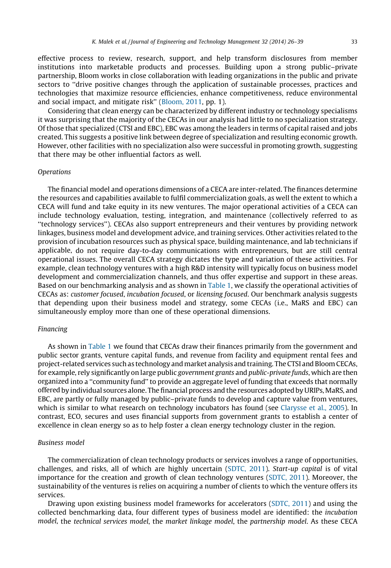effective process to review, research, support, and help transform disclosures from member institutions into marketable products and processes. Building upon a strong public–private partnership, Bloom works in close collaboration with leading organizations in the public and private sectors to ''drive positive changes through the application of sustainable processes, practices and technologies that maximize resource efficiencies, enhance competitiveness, reduce environmental and social impact, and mitigate risk'' [\(Bloom,](#page-12-0) 2011, pp. 1).

Considering that clean energy can be characterized by different industry or technology specialisms it was surprising that the majority of the CECAs in our analysis had little to no specialization strategy. Of those that specialized (CTSI and EBC), EBC was among the leaders in terms of capital raised and jobs created. This suggests a positive link between degree of specialization and resulting economic growth. However, other facilities with no specialization also were successful in promoting growth, suggesting that there may be other influential factors as well.

# **Operations**

The financial model and operations dimensions of a CECA are inter-related. The finances determine the resources and capabilities available to fulfil commercialization goals, as well the extent to which a CECA will fund and take equity in its new ventures. The major operational activities of a CECA can include technology evaluation, testing, integration, and maintenance (collectively referred to as ''technology services''). CECAs also support entrepreneurs and their ventures by providing network linkages, business model and development advice, and training services. Other activities related to the provision of incubation resources such as physical space, building maintenance, and lab technicians if applicable, do not require day-to-day communications with entrepreneurs, but are still central operational issues. The overall CECA strategy dictates the type and variation of these activities. For example, clean technology ventures with a high R&D intensity will typically focus on business model development and commercialization channels, and thus offer expertise and support in these areas. Based on our benchmarking analysis and as shown in [Table](#page-5-0) 1, we classify the operational activities of CECAs as: customer focused, incubation focused, or licensing focused. Our benchmark analysis suggests that depending upon their business model and strategy, some CECAs (i.e., MaRS and EBC) can simultaneously employ more than one of these operational dimensions.

# Financing

As shown in [Table](#page-5-0) 1 we found that CECAs draw their finances primarily from the government and public sector grants, venture capital funds, and revenue from facility and equipment rental fees and project-related services such as technology and market analysis and training. The CTSI and Bloom CECAs, for example, rely significantly on large public government grants and public-private funds, which are then organized into a ''community fund'' to provide an aggregate level of funding that exceeds that normally offered by individual sources alone. The financial process and the resources adopted by URIPs, MaRS, and EBC, are partly or fully managed by public–private funds to develop and capture value from ventures, which is similar to what research on technology incubators has found (see [Clarysse](#page-12-0) et al., 2005). In contrast, ECO, secures and uses financial supports from government grants to establish a center of excellence in clean energy so as to help foster a clean energy technology cluster in the region.

## Business model

The commercialization of clean technology products or services involves a range of opportunities, challenges, and risks, all of which are highly uncertain ([SDTC,](#page-13-0) 2011). Start-up capital is of vital importance for the creation and growth of clean technology ventures ([SDTC,](#page-13-0) 2011). Moreover, the sustainability of the ventures is relies on acquiring a number of clients to which the venture offers its services.

Drawing upon existing business model frameworks for accelerators [\(SDTC,](#page-13-0) 2011) and using the collected benchmarking data, four different types of business model are identified: the incubation model, the technical services model, the market linkage model, the partnership model. As these CECA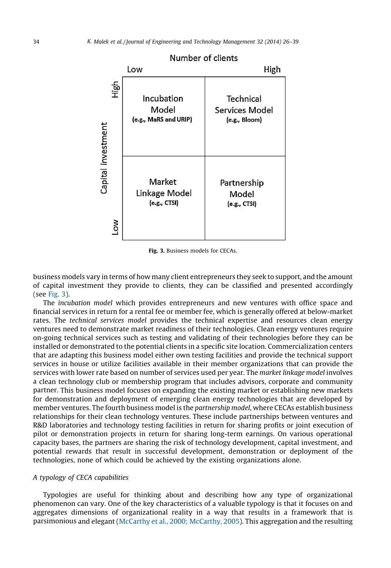

Fig. 3. Business models for CECAs.

business models vary in terms of how many client entrepreneurs they seek to support, and the amount of capital investment they provide to clients, they can be classified and presented accordingly (see Fig. 3).

The incubation model which provides entrepreneurs and new ventures with office space and financial services in return for a rental fee or member fee, which is generally offered at below-market rates. The technical services model provides the technical expertise and resources clean energy ventures need to demonstrate market readiness of their technologies. Clean energy ventures require on-going technical services such as testing and validating of their technologies before they can be installed or demonstrated to the potential clients in a specific site location. Commercialization centers that are adapting this business model either own testing facilities and provide the technical support services in house or utilize facilities available in their member organizations that can provide the services with lower rate based on number of services used per year. The market linkage model involves a clean technology club or membership program that includes advisors, corporate and community partner. This business model focuses on expanding the existing market or establishing new markets for demonstration and deployment of emerging clean energy technologies that are developed by member ventures. The fourth business model is the partnership model, where CECAs establish business relationships for their clean technology ventures. These include partnerships between ventures and R&D laboratories and technology testing facilities in return for sharing profits or joint execution of pilot or demonstration projects in return for sharing long-term earnings. On various operational capacity bases, the partners are sharing the risk of technology development, capital investment, and potential rewards that result in successful development, demonstration or deployment of the technologies, none of which could be achieved by the existing organizations alone.

#### A typology of CECA capabilities

Typologies are useful for thinking about and describing how any type of organizational phenomenon can vary. One of the key characteristics of a valuable typology is that it focuses on and aggregates dimensions of organizational reality in a way that results in a framework that is parsimonious and elegant (McCarthy et al., 2000; [McCarthy,](#page-13-0) 2005). This aggregation and the resulting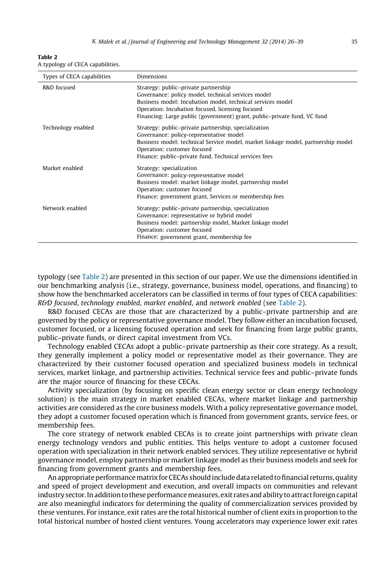<span id="page-9-0"></span>

| Table 2                          |  |  |  |  |  |
|----------------------------------|--|--|--|--|--|
| A typology of CECA capabilities. |  |  |  |  |  |

| Types of CECA capabilities | Dimensions                                                                                                                                                                                                                                                                               |
|----------------------------|------------------------------------------------------------------------------------------------------------------------------------------------------------------------------------------------------------------------------------------------------------------------------------------|
| R&D focused                | Strategy: public-private partnership<br>Governance: policy model, technical services model<br>Business model: Incubation model, technical services model<br>Operation: Incubation focused, licensing focused<br>Financing: Large public (government) grant, public-private fund, VC fund |
| Technology enabled         | Strategy: public-private partnership, specialization<br>Governance: policy-representative model<br>Business model: technical Service model, market linkage model, partnership model<br>Operation: customer focused<br>Finance: public–private fund, Technical services fees              |
| Market enabled             | Strategy: specialization<br>Governance: policy-representative model<br>Business model: market linkage model, partnership model<br>Operation: customer focused<br>Finance: government grant, Services or membership fees                                                                  |
| Network enabled            | Strategy: public-private partnership, specialization<br>Governance: representative or hybrid model<br>Business model: partnership model, Market linkage model<br>Operation: customer focused<br>Finance: government grant, membership fee                                                |

typology (see Table 2) are presented in this section of our paper. We use the dimensions identified in our benchmarking analysis (i.e., strategy, governance, business model, operations, and financing) to show how the benchmarked accelerators can be classified in terms of four types of CECA capabilities: R&D focused, technology enabled, market enabled, and network enabled (see Table 2).

R&D focused CECAs are those that are characterized by a public–private partnership and are governed by the policy or representative governance model. They follow either an incubation focused, customer focused, or a licensing focused operation and seek for financing from large public grants, public–private funds, or direct capital investment from VCs.

Technology enabled CECAs adopt a public–private partnership as their core strategy. As a result, they generally implement a policy model or representative model as their governance. They are characterized by their customer focused operation and specialized business models in technical services, market linkage, and partnership activities. Technical service fees and public–private funds are the major source of financing for these CECAs.

Activity specialization (by focusing on specific clean energy sector or clean energy technology solution) is the main strategy in market enabled CECAs, where market linkage and partnership activities are considered as the core business models. With a policy representative governance model, they adopt a customer focused operation which is financed from government grants, service fees, or membership fees.

The core strategy of network enabled CECAs is to create joint partnerships with private clean energy technology vendors and public entities. This helps venture to adopt a customer focused operation with specialization in their network enabled services. They utilize representative or hybrid governance model, employ partnership or market linkage model as their business models and seek for financing from government grants and membership fees.

An appropriate performance matrix for CECAs should include data related to financial returns, quality and speed of project development and execution, and overall impacts on communities and relevant industry sector. In addition to these performance measures, exit rates and ability to attract foreign capital are also meaningful indicators for determining the quality of commercialization services provided by these ventures. For instance, exit rates are the total historical number of client exits in proportion to the total historical number of hosted client ventures. Young accelerators may experience lower exit rates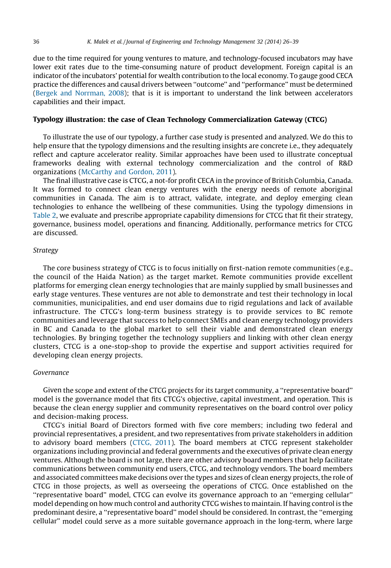due to the time required for young ventures to mature, and technology-focused incubators may have lower exit rates due to the time-consuming nature of product development. Foreign capital is an indicator of the incubators' potential for wealth contribution to the local economy. To gauge good CECA practice the differences and causal drivers between ''outcome'' and ''performance'' must be determined (Bergek and [Norrman,](#page-12-0) 2008); that is it is important to understand the link between accelerators capabilities and their impact.

# Typology illustration: the case of Clean Technology Commercialization Gateway (CTCG)

To illustrate the use of our typology, a further case study is presented and analyzed. We do this to help ensure that the typology dimensions and the resulting insights are concrete i.e., they adequately reflect and capture accelerator reality. Similar approaches have been used to illustrate conceptual frameworks dealing with external technology commercialization and the control of R&D organizations [\(McCarthy](#page-13-0) and Gordon, 2011).

The final illustrative case is CTCG, a not-for profit CECA in the province of British Columbia, Canada. It was formed to connect clean energy ventures with the energy needs of remote aboriginal communities in Canada. The aim is to attract, validate, integrate, and deploy emerging clean technologies to enhance the wellbeing of these communities. Using the typology dimensions in [Table](#page-9-0) 2, we evaluate and prescribe appropriate capability dimensions for CTCG that fit their strategy, governance, business model, operations and financing. Additionally, performance metrics for CTCG are discussed.

# Strategy

The core business strategy of CTCG is to focus initially on first-nation remote communities (e.g., the council of the Haida Nation) as the target market. Remote communities provide excellent platforms for emerging clean energy technologies that are mainly supplied by small businesses and early stage ventures. These ventures are not able to demonstrate and test their technology in local communities, municipalities, and end user domains due to rigid regulations and lack of available infrastructure. The CTCG's long-term business strategy is to provide services to BC remote communities and leverage that success to help connect SMEs and clean energy technology providers in BC and Canada to the global market to sell their viable and demonstrated clean energy technologies. By bringing together the technology suppliers and linking with other clean energy clusters, CTCG is a one-stop-shop to provide the expertise and support activities required for developing clean energy projects.

#### Governance

Given the scope and extent of the CTCG projects for its target community, a ''representative board'' model is the governance model that fits CTCG's objective, capital investment, and operation. This is because the clean energy supplier and community representatives on the board control over policy and decision-making process.

CTCG's initial Board of Directors formed with five core members; including two federal and provincial representatives, a president, and two representatives from private stakeholders in addition to advisory board members ([CTCG,](#page-12-0) 2011). The board members at CTCG represent stakeholder organizations including provincial and federal governments and the executives of private clean energy ventures. Although the board is not large, there are other advisory board members that help facilitate communications between community end users, CTCG, and technology vendors. The board members and associated committees make decisions over the types and sizes of clean energy projects, the role of CTCG in those projects, as well as overseeing the operations of CTCG. Once established on the ''representative board'' model, CTCG can evolve its governance approach to an ''emerging cellular'' model depending on how much control and authority CTCG wishes to maintain. If having control is the predominant desire, a ''representative board'' model should be considered. In contrast, the ''emerging cellular'' model could serve as a more suitable governance approach in the long-term, where large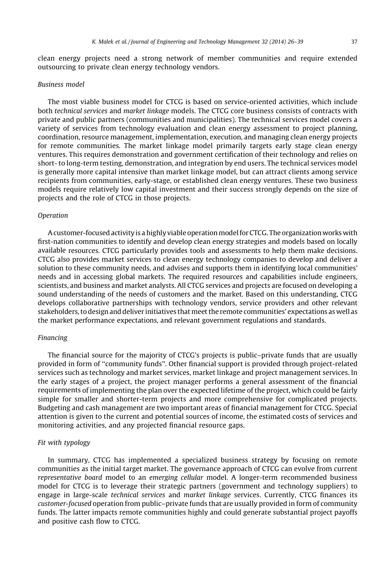clean energy projects need a strong network of member communities and require extended outsourcing to private clean energy technology vendors.

# Business model

The most viable business model for CTCG is based on service-oriented activities, which include both technical services and market linkage models. The CTCG core business consists of contracts with private and public partners (communities and municipalities). The technical services model covers a variety of services from technology evaluation and clean energy assessment to project planning, coordination, resource management, implementation, execution, and managing clean energy projects for remote communities. The market linkage model primarily targets early stage clean energy ventures. This requires demonstration and government certification of their technology and relies on short- to long-term testing, demonstration, and integration by end users. The technical services model is generally more capital intensive than market linkage model, but can attract clients among service recipients from communities, early-stage, or established clean energy ventures. These two business models require relatively low capital investment and their success strongly depends on the size of projects and the role of CTCG in those projects.

#### **Operation**

Acustomer-focusedactivityis a highly viable operationmodelforCTCG. The organizationworks with first-nation communities to identify and develop clean energy strategies and models based on locally available resources. CTCG particularly provides tools and assessments to help them make decisions. CTCG also provides market services to clean energy technology companies to develop and deliver a solution to these community needs, and advises and supports them in identifying local communities' needs and in accessing global markets. The required resources and capabilities include engineers, scientists, and business and market analysts. All CTCG services and projects are focused on developing a sound understanding of the needs of customers and the market. Based on this understanding, CTCG develops collaborative partnerships with technology vendors, service providers and other relevant stakeholders, to design and deliver initiatives that meet the remote communities' expectations as well as the market performance expectations, and relevant government regulations and standards.

# Financing

The financial source for the majority of CTCG's projects is public–private funds that are usually provided in form of ''community funds''. Other financial support is provided through project-related services such as technology and market services, market linkage and project management services. In the early stages of a project, the project manager performs a general assessment of the financial requirements of implementing the plan over the expected lifetime of the project, which could be fairly simple for smaller and shorter-term projects and more comprehensive for complicated projects. Budgeting and cash management are two important areas of financial management for CTCG. Special attention is given to the current and potential sources of income, the estimated costs of services and monitoring activities, and any projected financial resource gaps.

# Fit with typology

In summary, CTCG has implemented a specialized business strategy by focusing on remote communities as the initial target market. The governance approach of CTCG can evolve from current representative board model to an emerging cellular model. A longer-term recommended business model for CTCG is to leverage their strategic partners (government and technology suppliers) to engage in large-scale technical services and market linkage services. Currently, CTCG finances its customer-focused operation from public–private funds that are usually provided in form of community funds. The latter impacts remote communities highly and could generate substantial project payoffs and positive cash flow to CTCG.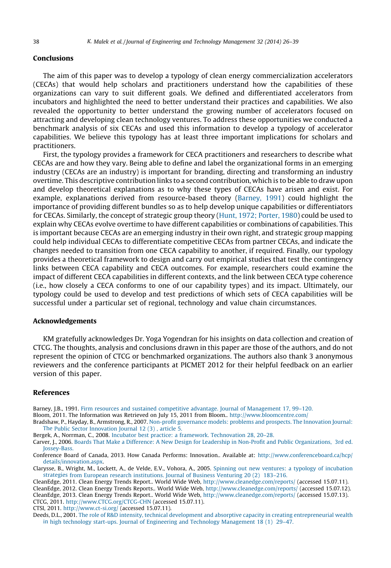# <span id="page-12-0"></span>Conclusions

The aim of this paper was to develop a typology of clean energy commercialization accelerators (CECAs) that would help scholars and practitioners understand how the capabilities of these organizations can vary to suit different goals. We defined and differentiated accelerators from incubators and highlighted the need to better understand their practices and capabilities. We also revealed the opportunity to better understand the growing number of accelerators focused on attracting and developing clean technology ventures. To address these opportunities we conducted a benchmark analysis of six CECAs and used this information to develop a typology of accelerator capabilities. We believe this typology has at least three important implications for scholars and practitioners.

First, the typology provides a framework for CECA practitioners and researchers to describe what CECAs are and how they vary. Being able to define and label the organizational forms in an emerging industry (CECAs are an industry) is important for branding, directing and transforming an industry overtime. This descriptive contribution links to a second contribution, which is to be able to draw upon and develop theoretical explanations as to why these types of CECAs have arisen and exist. For example, explanations derived from resource-based theory (Barney, 1991) could highlight the importance of providing different bundles so as to help develop unique capabilities or differentiators for CECAs. Similarly, the concept of strategic group theory (Hunt, 1972; [Porter,](#page-13-0) 1980) could be used to explain why CECAs evolve overtime to have different capabilities or combinations of capabilities. This is important because CECAs are an emerging industry in their own right, and strategic group mapping could help individual CECAs to differentiate competitive CECAs from partner CECAs, and indicate the changes needed to transition from one CECA capability to another, if required. Finally, our typology provides a theoretical framework to design and carry out empirical studies that test the contingency links between CECA capability and CECA outcomes. For example, researchers could examine the impact of different CECA capabilities in different contexts, and the link between CECA type coherence (i.e., how closely a CECA conforms to one of our capability types) and its impact. Ultimately, our typology could be used to develop and test predictions of which sets of CECA capabilities will be successful under a particular set of regional, technology and value chain circumstances.

# Acknowledgements

KM gratefully acknowledges Dr. Yoga Yogendran for his insights on data collection and creation of CTCG. The thoughts, analysis and conclusions drawn in this paper are those of the authors, and do not represent the opinion of CTCG or benchmarked organizations. The authors also thank 3 anonymous reviewers and the conference participants at PICMET 2012 for their helpful feedback on an earlier version of this paper.

#### References

Barney, J.B., 1991. Firm resources and sustained competitive advantage. Journal of [Management](http://refhub.elsevier.com/S0923-4748(13)00076-3/sbref0010) 17, 99–120.

Bloom, 2011. The Information was Retrieved on July 15, 2011 from Bloom.. <http://www.bloomcentre.com/>

Bradshaw, P., Hayday, B., Armstrong, R., 2007. Non-profit [governance](http://refhub.elsevier.com/S0923-4748(13)00076-3/sbref0020) models: problems and prospects. The Innovation Journal: The Public Sector [Innovation](http://refhub.elsevier.com/S0923-4748(13)00076-3/sbref0020) Journal 12 (3) , article 5.

Bergek, A., Norrman, C., 2008. Incubator best practice: a framework. [Technovation](http://refhub.elsevier.com/S0923-4748(13)00076-3/sbref0025) 28, 20–28.

Carver, J., 2006. Boards That Make a Difference: A New Design for Leadership in Non-Profit and Public [Organizations,](http://refhub.elsevier.com/S0923-4748(13)00076-3/sbref0035) 3rd ed. [Jossey-Bass.](http://refhub.elsevier.com/S0923-4748(13)00076-3/sbref0035)

Conference Board of Canada, 2013. How Canada Performs: Innovation.. Available at: [http://www.conferenceboard.ca/hcp/](http://www.conferenceboard.ca/hcp/details/innovation.aspx) [details/innovation.aspx.](http://www.conferenceboard.ca/hcp/details/innovation.aspx)

Clarysse, B., Wright, M., Lockett, A., de Velde, E.V., Vohora, A., 2005. Spinning out new ventures: a typology of [incubation](http://refhub.elsevier.com/S0923-4748(13)00076-3/sbref0050) strategies from European research [institutions.](http://refhub.elsevier.com/S0923-4748(13)00076-3/sbref0050) Journal of Business Venturing 20 (2) 183–216.

CleanEdge, 2011. Clean Energy Trends Report.. World Wide Web, <http://www.cleanedge.com/reports/> (accessed 15.07.11).

CleanEdge, 2012. Clean Energy Trends Reports.. World Wide Web, <http://www.cleanedge.com/reports/> (accessed 15.07.12). CleanEdge, 2013. Clean Energy Trends Report.. World Wide Web, <http://www.cleanedge.com/reports/> (accessed 15.07.13). CTCG, 2011. [http://www.CTCG.org/CTCG-CHN](http://www.ctcg.org/CTCG-CHN) (accessed 15.07.11).

CTSI, 2011. <http://www.ct-si.org/> (accessed 15.07.11).

Deeds, D.L., 2001. The role of R&D intensity, technical development and absorptive capacity in creating [entrepreneurial](http://refhub.elsevier.com/S0923-4748(13)00076-3/sbref0090) wealth in high technology start-ups. Journal of Engineering and Technology [Management](http://refhub.elsevier.com/S0923-4748(13)00076-3/sbref0090) 18 (1) 29–47.